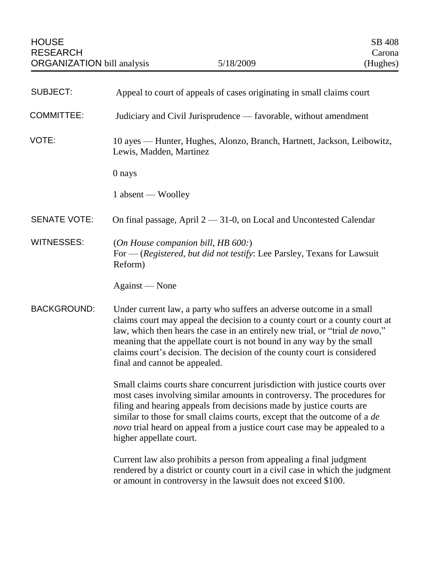| <b>SUBJECT:</b>     | Appeal to court of appeals of cases originating in small claims court                                                                                                                                                                                                                                                                                                                                                            |
|---------------------|----------------------------------------------------------------------------------------------------------------------------------------------------------------------------------------------------------------------------------------------------------------------------------------------------------------------------------------------------------------------------------------------------------------------------------|
| <b>COMMITTEE:</b>   | Judiciary and Civil Jurisprudence — favorable, without amendment                                                                                                                                                                                                                                                                                                                                                                 |
| VOTE:               | 10 ayes — Hunter, Hughes, Alonzo, Branch, Hartnett, Jackson, Leibowitz,<br>Lewis, Madden, Martinez                                                                                                                                                                                                                                                                                                                               |
|                     | 0 nays                                                                                                                                                                                                                                                                                                                                                                                                                           |
|                     | 1 absent — Woolley                                                                                                                                                                                                                                                                                                                                                                                                               |
| <b>SENATE VOTE:</b> | On final passage, April $2 - 31$ -0, on Local and Uncontested Calendar                                                                                                                                                                                                                                                                                                                                                           |
| <b>WITNESSES:</b>   | (On House companion bill, HB 600.)<br>For — (Registered, but did not testify: Lee Parsley, Texans for Lawsuit<br>Reform)                                                                                                                                                                                                                                                                                                         |
|                     | Against — None                                                                                                                                                                                                                                                                                                                                                                                                                   |
| <b>BACKGROUND:</b>  | Under current law, a party who suffers an adverse outcome in a small<br>claims court may appeal the decision to a county court or a county court at<br>law, which then hears the case in an entirely new trial, or "trial <i>de novo</i> ,"<br>meaning that the appellate court is not bound in any way by the small<br>claims court's decision. The decision of the county court is considered<br>final and cannot be appealed. |
|                     | Small claims courts share concurrent jurisdiction with justice courts over<br>most cases involving similar amounts in controversy. The procedures for<br>filing and hearing appeals from decisions made by justice courts are<br>similar to those for small claims courts, except that the outcome of a de<br><i>novo</i> trial heard on appeal from a justice court case may be appealed to a<br>higher appellate court.        |
|                     | Current law also prohibits a person from appealing a final judgment<br>rendered by a district or county court in a civil case in which the judgment<br>or amount in controversy in the lawsuit does not exceed \$100.                                                                                                                                                                                                            |